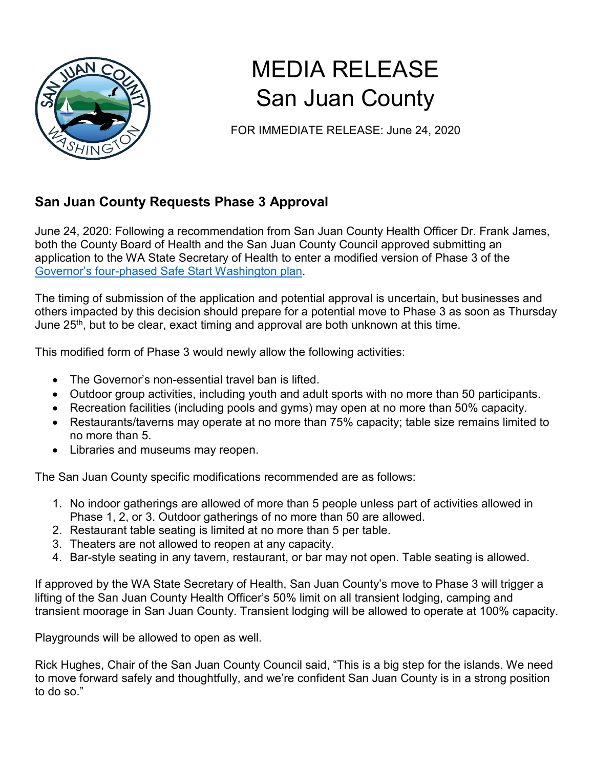

## MEDIA RELEASE San Juan County

FOR IMMEDIATE RELEASE: June 24, 2020

## **San Juan County Requests Phase 3 Approval**

June 24, 2020: Following a recommendation from San Juan County Health Officer Dr. Frank James, both the County Board of Health and the San Juan County Council approved submitting an application to the WA State Secretary of Health to enter a modified version of Phase 3 of the Governor's four-phased [Safe Start Washington plan.](https://www.governor.wa.gov/sites/default/files/SafeStartPhasedReopening.pdf)

The timing of submission of the application and potential approval is uncertain, but businesses and others impacted by this decision should prepare for a potential move to Phase 3 as soon as Thursday June 25<sup>th</sup>, but to be clear, exact timing and approval are both unknown at this time.

This modified form of Phase 3 would newly allow the following activities:

- The Governor's non-essential travel ban is lifted.
- Outdoor group activities, including youth and adult sports with no more than 50 participants.
- Recreation facilities (including pools and gyms) may open at no more than 50% capacity.
- Restaurants/taverns may operate at no more than 75% capacity; table size remains limited to no more than 5.
- Libraries and museums may reopen.

The San Juan County specific modifications recommended are as follows:

- 1. No indoor gatherings are allowed of more than 5 people unless part of activities allowed in Phase 1, 2, or 3. Outdoor gatherings of no more than 50 are allowed.
- 2. Restaurant table seating is limited at no more than 5 per table.
- 3. Theaters are not allowed to reopen at any capacity.
- 4. Bar-style seating in any tavern, restaurant, or bar may not open. Table seating is allowed.

If approved by the WA State Secretary of Health, San Juan County's move to Phase 3 will trigger a lifting of the San Juan County Health Officer's 50% limit on all transient lodging, camping and transient moorage in San Juan County. Transient lodging will be allowed to operate at 100% capacity.

Playgrounds will be allowed to open as well.

Rick Hughes, Chair of the San Juan County Council said, "This is a big step for the islands. We need to move forward safely and thoughtfully, and we're confident San Juan County is in a strong position to do so."